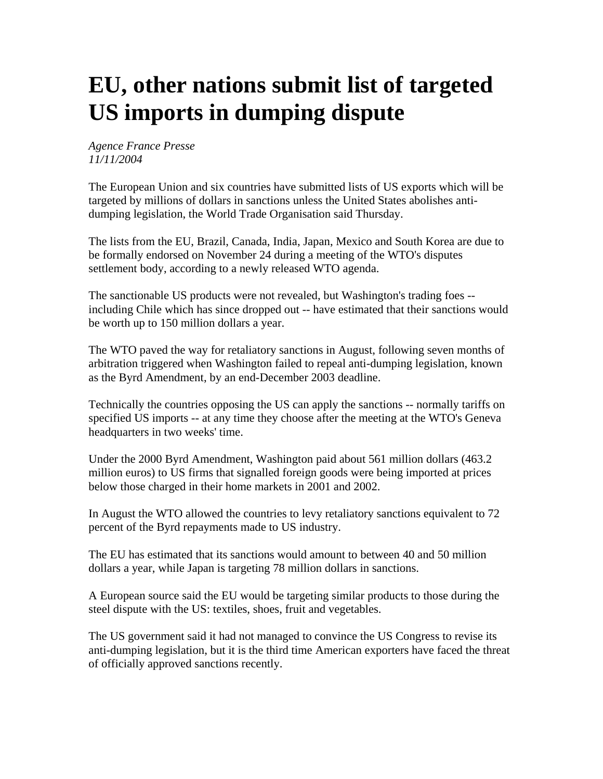## **EU, other nations submit list of targeted US imports in dumping dispute**

## *Agence France Presse 11/11/2004*

The European Union and six countries have submitted lists of US exports which will be targeted by millions of dollars in sanctions unless the United States abolishes antidumping legislation, the World Trade Organisation said Thursday.

The lists from the EU, Brazil, Canada, India, Japan, Mexico and South Korea are due to be formally endorsed on November 24 during a meeting of the WTO's disputes settlement body, according to a newly released WTO agenda.

The sanctionable US products were not revealed, but Washington's trading foes - including Chile which has since dropped out -- have estimated that their sanctions would be worth up to 150 million dollars a year.

The WTO paved the way for retaliatory sanctions in August, following seven months of arbitration triggered when Washington failed to repeal anti-dumping legislation, known as the Byrd Amendment, by an end-December 2003 deadline.

Technically the countries opposing the US can apply the sanctions -- normally tariffs on specified US imports -- at any time they choose after the meeting at the WTO's Geneva headquarters in two weeks' time.

Under the 2000 Byrd Amendment, Washington paid about 561 million dollars (463.2 million euros) to US firms that signalled foreign goods were being imported at prices below those charged in their home markets in 2001 and 2002.

In August the WTO allowed the countries to levy retaliatory sanctions equivalent to 72 percent of the Byrd repayments made to US industry.

The EU has estimated that its sanctions would amount to between 40 and 50 million dollars a year, while Japan is targeting 78 million dollars in sanctions.

A European source said the EU would be targeting similar products to those during the steel dispute with the US: textiles, shoes, fruit and vegetables.

The US government said it had not managed to convince the US Congress to revise its anti-dumping legislation, but it is the third time American exporters have faced the threat of officially approved sanctions recently.